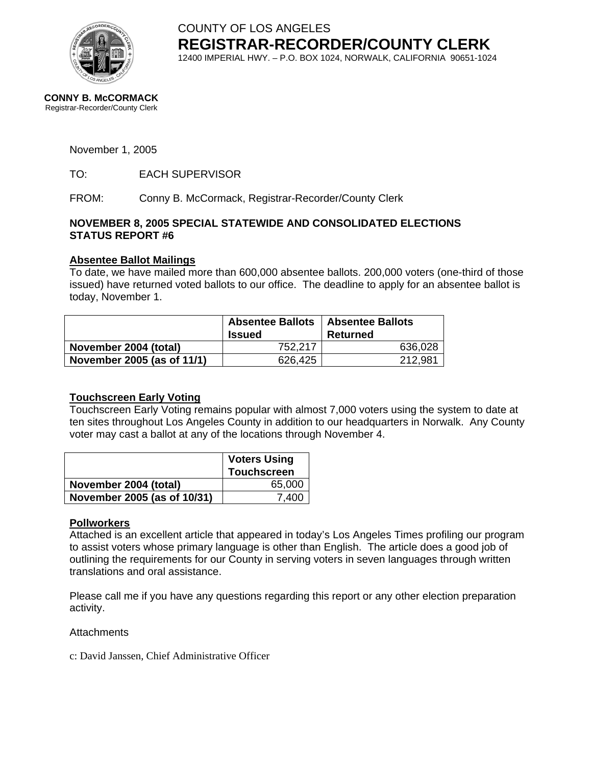

COUNTY OF LOS ANGELES **REGISTRAR-RECORDER/COUNTY CLERK** 12400 IMPERIAL HWY. – P.O. BOX 1024, NORWALK, CALIFORNIA 90651-1024

#### November 1, 2005

TO: EACH SUPERVISOR

FROM: Conny B. McCormack, Registrar-Recorder/County Clerk

#### **NOVEMBER 8, 2005 SPECIAL STATEWIDE AND CONSOLIDATED ELECTIONS STATUS REPORT #6**

### **Absentee Ballot Mailings**

To date, we have mailed more than 600,000 absentee ballots. 200,000 voters (one-third of those issued) have returned voted ballots to our office. The deadline to apply for an absentee ballot is today, November 1.

|                            | <b>Absentee Ballots</b><br><b>Issued</b> | <b>Absentee Ballots</b><br>Returned |  |  |  |
|----------------------------|------------------------------------------|-------------------------------------|--|--|--|
| November 2004 (total)      | 752,217                                  | 636,028                             |  |  |  |
| November 2005 (as of 11/1) | 626,425                                  | 212,981                             |  |  |  |

### **Touchscreen Early Voting**

Touchscreen Early Voting remains popular with almost 7,000 voters using the system to date at ten sites throughout Los Angeles County in addition to our headquarters in Norwalk. Any County voter may cast a ballot at any of the locations through November 4.

|                             | <b>Voters Using</b><br><b>Touchscreen</b> |
|-----------------------------|-------------------------------------------|
| November 2004 (total)       | 65,000                                    |
| November 2005 (as of 10/31) | 7.400                                     |

### **Pollworkers**

Attached is an excellent article that appeared in today's Los Angeles Times profiling our program to assist voters whose primary language is other than English. The article does a good job of outlining the requirements for our County in serving voters in seven languages through written translations and oral assistance.

Please call me if you have any questions regarding this report or any other election preparation activity.

**Attachments** 

c: David Janssen, Chief Administrative Officer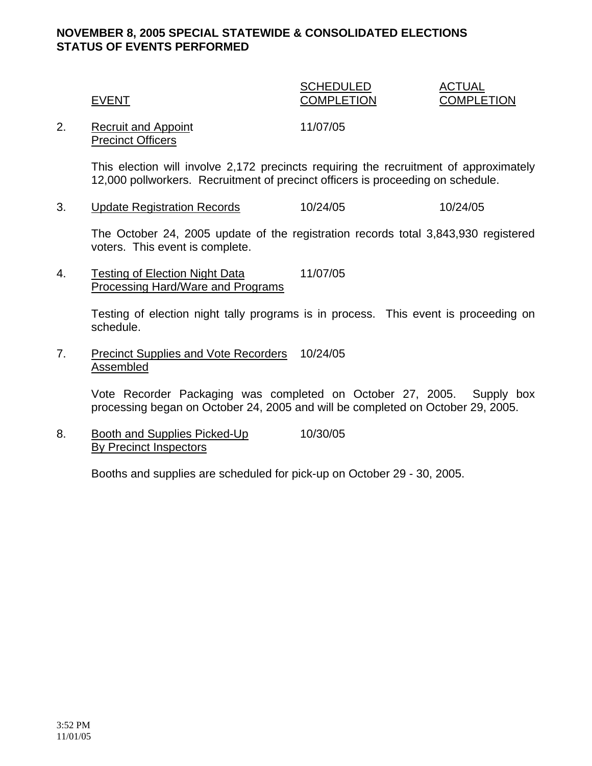## **NOVEMBER 8, 2005 SPECIAL STATEWIDE & CONSOLIDATED ELECTIONS STATUS OF EVENTS PERFORMED**

## SCHEDULED ACTUAL EVENT COMPLETION COMPLETION

2. Recruit and Appoint 11/07/05 Precinct Officers

This election will involve 2,172 precincts requiring the recruitment of approximately 12,000 pollworkers. Recruitment of precinct officers is proceeding on schedule.

3. Update Registration Records 10/24/05 10/24/05

The October 24, 2005 update of the registration records total 3,843,930 registered voters. This event is complete.

4. Testing of Election Night Data 11/07/05 Processing Hard/Ware and Programs

> Testing of election night tally programs is in process. This event is proceeding on schedule.

7. Precinct Supplies and Vote Recorders 10/24/05 Assembled

> Vote Recorder Packaging was completed on October 27, 2005. Supply box processing began on October 24, 2005 and will be completed on October 29, 2005.

8. Booth and Supplies Picked-Up 10/30/05 By Precinct Inspectors

Booths and supplies are scheduled for pick-up on October 29 - 30, 2005.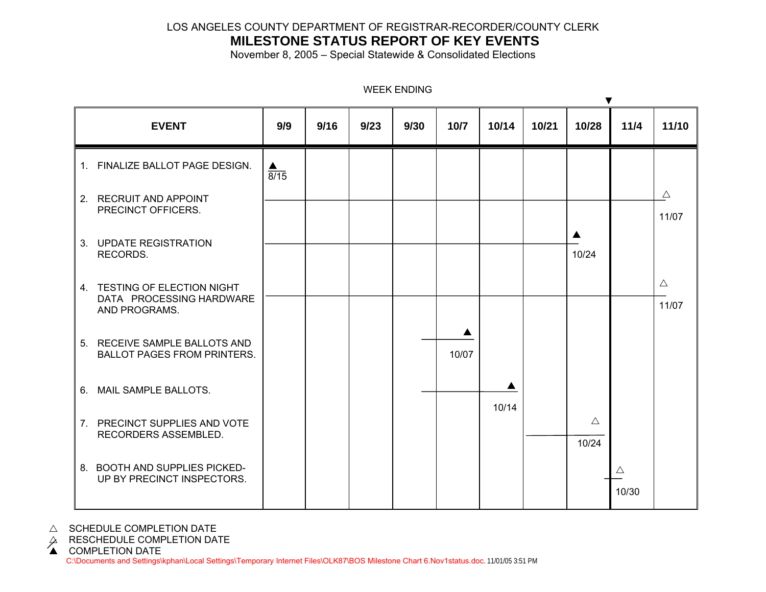## LOS ANGELES COUNTY DEPARTMENT OF REGISTRAR-RECORDER/COUNTY CLERK

# **MILESTONE STATUS REPORT OF KEY EVENTS**

November 8, 2005 – Special Statewide & Consolidated Elections

|                                                                           |      |      |      |      |        |       |       | ▼                    |                      |                      |
|---------------------------------------------------------------------------|------|------|------|------|--------|-------|-------|----------------------|----------------------|----------------------|
| <b>EVENT</b>                                                              | 9/9  | 9/16 | 9/23 | 9/30 | $10/7$ | 10/14 | 10/21 | 10/28                | 11/4                 | 11/10                |
| 1. FINALIZE BALLOT PAGE DESIGN.                                           | 8/15 |      |      |      |        |       |       |                      |                      |                      |
| 2. RECRUIT AND APPOINT<br>PRECINCT OFFICERS.                              |      |      |      |      |        |       |       |                      |                      | $\triangle$<br>11/07 |
| 3. UPDATE REGISTRATION<br>RECORDS.                                        |      |      |      |      |        |       |       | 10/24                |                      |                      |
| 4. TESTING OF ELECTION NIGHT<br>DATA PROCESSING HARDWARE<br>AND PROGRAMS. |      |      |      |      |        |       |       |                      |                      | $\triangle$<br>11/07 |
| 5. RECEIVE SAMPLE BALLOTS AND<br><b>BALLOT PAGES FROM PRINTERS.</b>       |      |      |      |      | 10/07  |       |       |                      |                      |                      |
| 6. MAIL SAMPLE BALLOTS.                                                   |      |      |      |      |        | 10/14 |       |                      |                      |                      |
| 7. PRECINCT SUPPLIES AND VOTE<br>RECORDERS ASSEMBLED.                     |      |      |      |      |        |       |       | $\triangle$<br>10/24 |                      |                      |
| 8. BOOTH AND SUPPLIES PICKED-<br>UP BY PRECINCT INSPECTORS.               |      |      |      |      |        |       |       |                      | $\triangle$<br>10/30 |                      |

WEEK ENDING

 $\triangle$  SCHEDULE COMPLETION DATE

 $\varphi$  RESCHEDULE COMPLETION DATE<br>▲ COMPLETION DATE

C:\Documents and Settings\kphan\Local Settings\Temporary Internet Files\OLK87\BOS Milestone Chart 6.Nov1status.doc.11/01/05 3:51 PM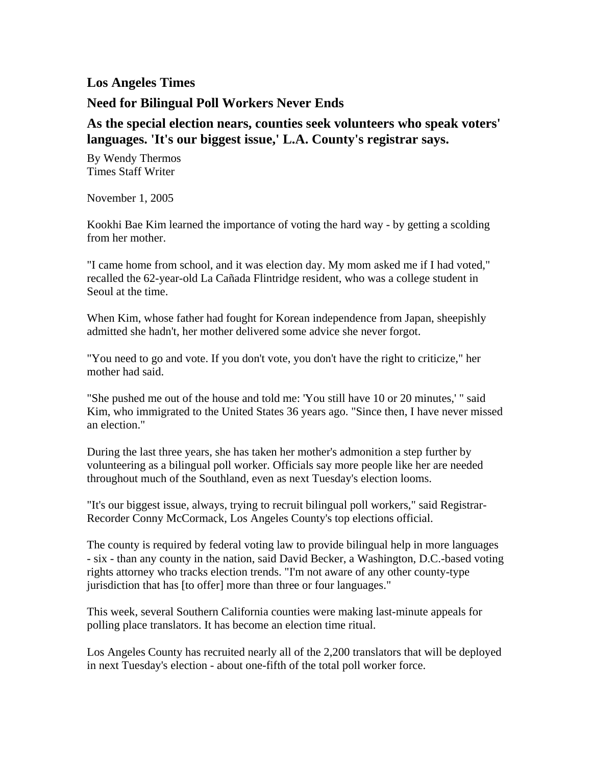## **Los Angeles Times**

## **Need for Bilingual Poll Workers Never Ends**

## **As the special election nears, counties seek volunteers who speak voters' languages. 'It's our biggest issue,' L.A. County's registrar says.**

By Wendy Thermos Times Staff Writer

November 1, 2005

Kookhi Bae Kim learned the importance of voting the hard way - by getting a scolding from her mother.

"I came home from school, and it was election day. My mom asked me if I had voted," recalled the 62-year-old La Cañada Flintridge resident, who was a college student in Seoul at the time.

When Kim, whose father had fought for Korean independence from Japan, sheepishly admitted she hadn't, her mother delivered some advice she never forgot.

"You need to go and vote. If you don't vote, you don't have the right to criticize," her mother had said.

"She pushed me out of the house and told me: 'You still have 10 or 20 minutes,' " said Kim, who immigrated to the United States 36 years ago. "Since then, I have never missed an election."

During the last three years, she has taken her mother's admonition a step further by volunteering as a bilingual poll worker. Officials say more people like her are needed throughout much of the Southland, even as next Tuesday's election looms.

"It's our biggest issue, always, trying to recruit bilingual poll workers," said Registrar-Recorder Conny McCormack, Los Angeles County's top elections official.

The county is required by federal voting law to provide bilingual help in more languages - six - than any county in the nation, said David Becker, a Washington, D.C.-based voting rights attorney who tracks election trends. "I'm not aware of any other county-type jurisdiction that has [to offer] more than three or four languages."

This week, several Southern California counties were making last-minute appeals for polling place translators. It has become an election time ritual.

Los Angeles County has recruited nearly all of the 2,200 translators that will be deployed in next Tuesday's election - about one-fifth of the total poll worker force.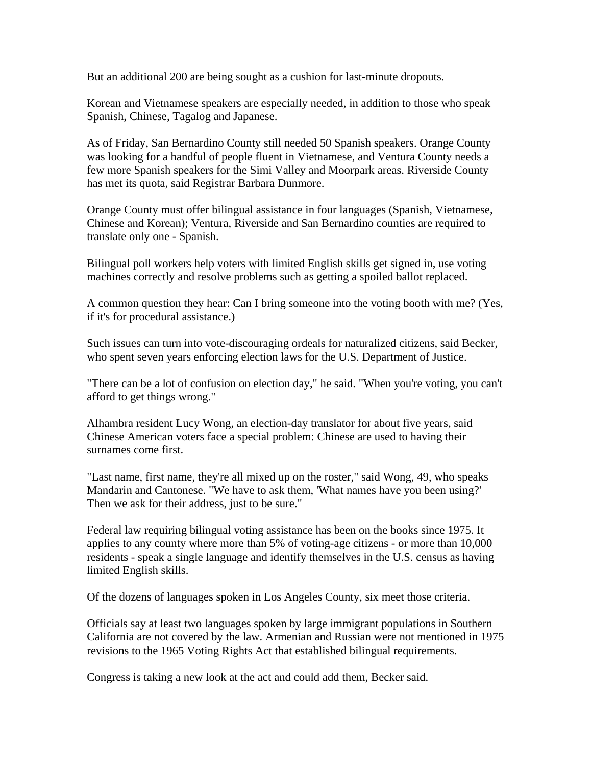But an additional 200 are being sought as a cushion for last-minute dropouts.

Korean and Vietnamese speakers are especially needed, in addition to those who speak Spanish, Chinese, Tagalog and Japanese.

As of Friday, San Bernardino County still needed 50 Spanish speakers. Orange County was looking for a handful of people fluent in Vietnamese, and Ventura County needs a few more Spanish speakers for the Simi Valley and Moorpark areas. Riverside County has met its quota, said Registrar Barbara Dunmore.

Orange County must offer bilingual assistance in four languages (Spanish, Vietnamese, Chinese and Korean); Ventura, Riverside and San Bernardino counties are required to translate only one - Spanish.

Bilingual poll workers help voters with limited English skills get signed in, use voting machines correctly and resolve problems such as getting a spoiled ballot replaced.

A common question they hear: Can I bring someone into the voting booth with me? (Yes, if it's for procedural assistance.)

Such issues can turn into vote-discouraging ordeals for naturalized citizens, said Becker, who spent seven years enforcing election laws for the U.S. Department of Justice.

"There can be a lot of confusion on election day," he said. "When you're voting, you can't afford to get things wrong."

Alhambra resident Lucy Wong, an election-day translator for about five years, said Chinese American voters face a special problem: Chinese are used to having their surnames come first.

"Last name, first name, they're all mixed up on the roster," said Wong, 49, who speaks Mandarin and Cantonese. "We have to ask them, 'What names have you been using?' Then we ask for their address, just to be sure."

Federal law requiring bilingual voting assistance has been on the books since 1975. It applies to any county where more than 5% of voting-age citizens - or more than 10,000 residents - speak a single language and identify themselves in the U.S. census as having limited English skills.

Of the dozens of languages spoken in Los Angeles County, six meet those criteria.

Officials say at least two languages spoken by large immigrant populations in Southern California are not covered by the law. Armenian and Russian were not mentioned in 1975 revisions to the 1965 Voting Rights Act that established bilingual requirements.

Congress is taking a new look at the act and could add them, Becker said.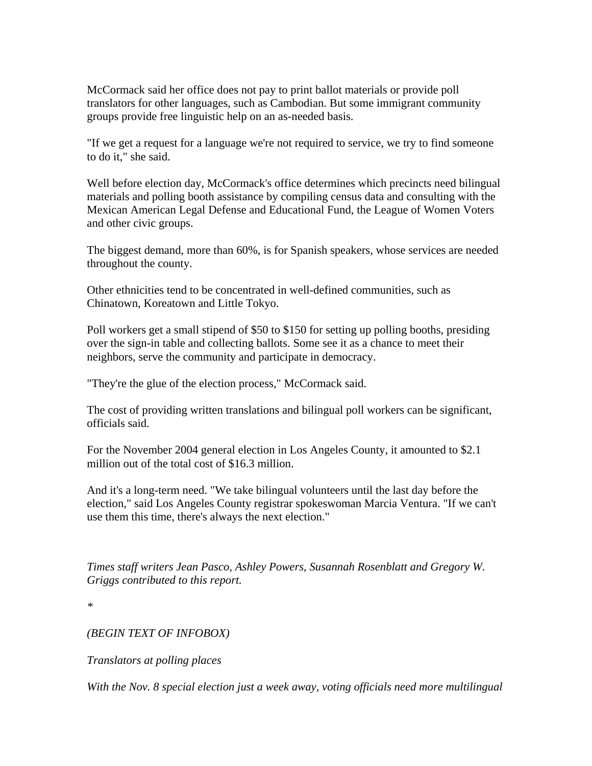McCormack said her office does not pay to print ballot materials or provide poll translators for other languages, such as Cambodian. But some immigrant community groups provide free linguistic help on an as-needed basis.

"If we get a request for a language we're not required to service, we try to find someone to do it," she said.

Well before election day, McCormack's office determines which precincts need bilingual materials and polling booth assistance by compiling census data and consulting with the Mexican American Legal Defense and Educational Fund, the League of Women Voters and other civic groups.

The biggest demand, more than 60%, is for Spanish speakers, whose services are needed throughout the county.

Other ethnicities tend to be concentrated in well-defined communities, such as Chinatown, Koreatown and Little Tokyo.

Poll workers get a small stipend of \$50 to \$150 for setting up polling booths, presiding over the sign-in table and collecting ballots. Some see it as a chance to meet their neighbors, serve the community and participate in democracy.

"They're the glue of the election process," McCormack said.

The cost of providing written translations and bilingual poll workers can be significant, officials said.

For the November 2004 general election in Los Angeles County, it amounted to \$2.1 million out of the total cost of \$16.3 million.

And it's a long-term need. "We take bilingual volunteers until the last day before the election," said Los Angeles County registrar spokeswoman Marcia Ventura. "If we can't use them this time, there's always the next election."

*Times staff writers Jean Pasco, Ashley Powers, Susannah Rosenblatt and Gregory W. Griggs contributed to this report.* 

*\** 

## *(BEGIN TEXT OF INFOBOX)*

*Translators at polling places* 

*With the Nov. 8 special election just a week away, voting officials need more multilingual*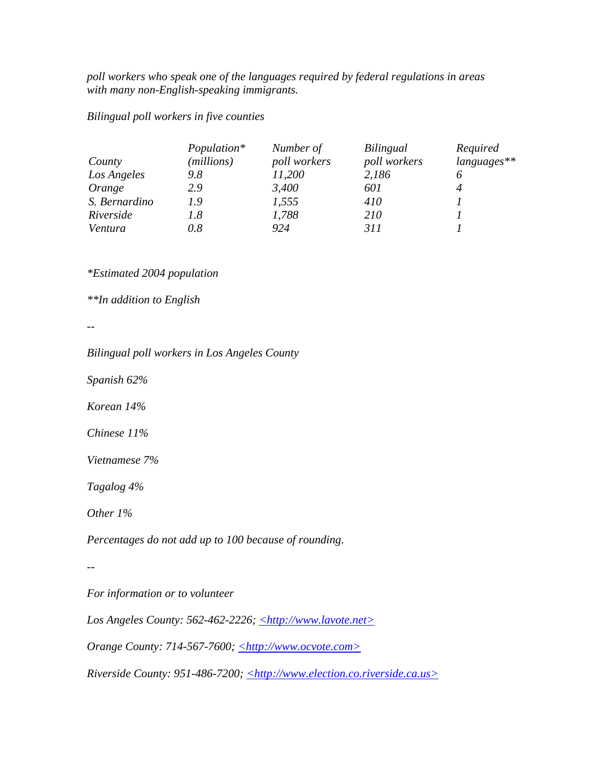*poll workers who speak one of the languages required by federal regulations in areas with many non-English-speaking immigrants.* 

*Bilingual poll workers in five counties* 

|               | Population* | Number of    | Bilingual    | Required    |
|---------------|-------------|--------------|--------------|-------------|
| County        | (millions)  | poll workers | poll workers | languages** |
| Los Angeles   | 9.8         | 11,200       | 2,186        |             |
| Orange        | 2.9         | 3,400        | 601          |             |
| S. Bernardino | 1.9         | 1,555        | 410          |             |
| Riverside     | 1.8         | 1,788        | 210          |             |
| Ventura       | 0.8         | 924          | 311          |             |

*\*Estimated 2004 population* 

*\*\*In addition to English* 

*--* 

*Bilingual poll workers in Los Angeles County* 

*Spanish 62%* 

*Korean 14%* 

*Chinese 11%* 

*Vietnamese 7%* 

*Tagalog 4%* 

*Other 1%* 

*Percentages do not add up to 100 because of rounding.* 

*--* 

*For information or to volunteer* 

*Los Angeles County: 562-462-2226; <http://www.lavote.net>* 

*Orange County: 714-567-7600; <http://www.ocvote.com>* 

*Riverside County: 951-486-7200; <http://www.election.co.riverside.ca.us>*